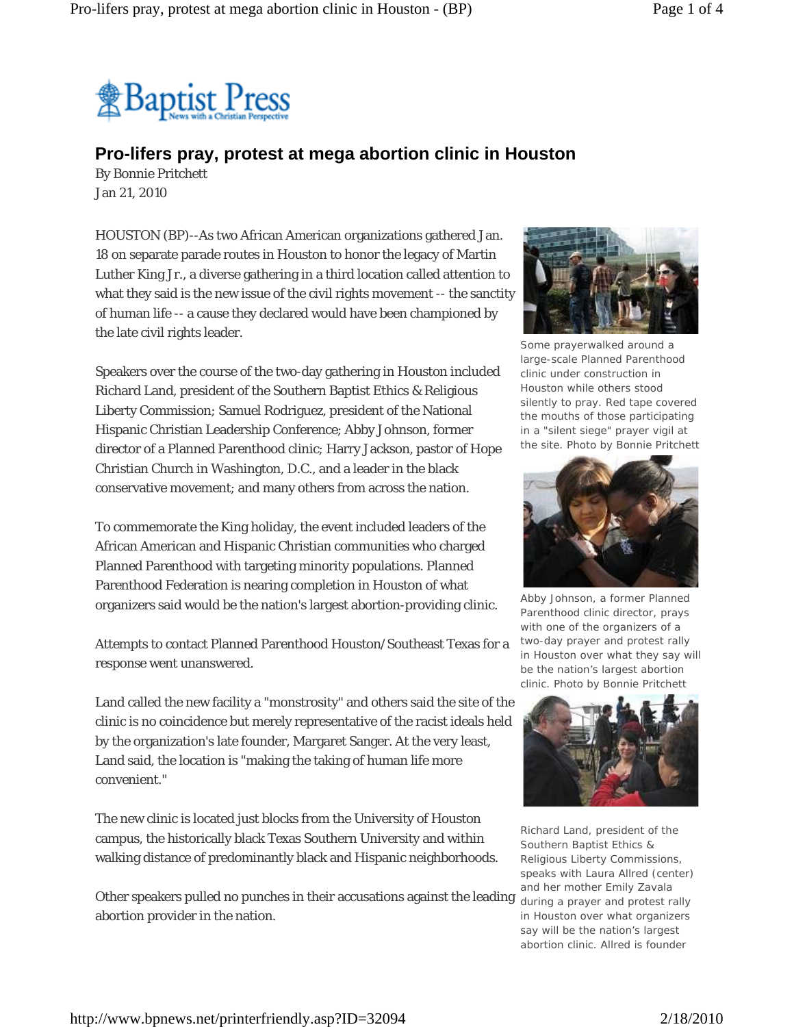

## **Pro-lifers pray, protest at mega abortion clinic in Houston**

By Bonnie Pritchett Jan 21, 2010

HOUSTON (BP)--As two African American organizations gathered Jan. 18 on separate parade routes in Houston to honor the legacy of Martin Luther King Jr., a diverse gathering in a third location called attention to what they said is the new issue of the civil rights movement -- the sanctity of human life -- a cause they declared would have been championed by the late civil rights leader.

Speakers over the course of the two-day gathering in Houston included Richard Land, president of the Southern Baptist Ethics & Religious Liberty Commission; Samuel Rodriguez, president of the National Hispanic Christian Leadership Conference; Abby Johnson, former director of a Planned Parenthood clinic; Harry Jackson, pastor of Hope Christian Church in Washington, D.C., and a leader in the black conservative movement; and many others from across the nation.

To commemorate the King holiday, the event included leaders of the African American and Hispanic Christian communities who charged Planned Parenthood with targeting minority populations. Planned Parenthood Federation is nearing completion in Houston of what organizers said would be the nation's largest abortion-providing clinic.

Attempts to contact Planned Parenthood Houston/Southeast Texas for a response went unanswered.

Land called the new facility a "monstrosity" and others said the site of the clinic is no coincidence but merely representative of the racist ideals held by the organization's late founder, Margaret Sanger. At the very least, Land said, the location is "making the taking of human life more convenient."

The new clinic is located just blocks from the University of Houston campus, the historically black Texas Southern University and within walking distance of predominantly black and Hispanic neighborhoods.

Other speakers pulled no punches in their accusations against the leading during a prayer and protest rally abortion provider in the nation.



Some prayerwalked around a large-scale Planned Parenthood clinic under construction in Houston while others stood silently to pray. Red tape covered the mouths of those participating in a "silent siege" prayer vigil at the site. *Photo by Bonnie Pritchett*



Abby Johnson, a former Planned Parenthood clinic director, prays with one of the organizers of a two-day prayer and protest rally in Houston over what they say will be the nation's largest abortion clinic. *Photo by Bonnie Pritchett*



Richard Land, president of the Southern Baptist Ethics & Religious Liberty Commissions, speaks with Laura Allred (center) and her mother Emily Zavala in Houston over what organizers say will be the nation's largest abortion clinic. Allred is founder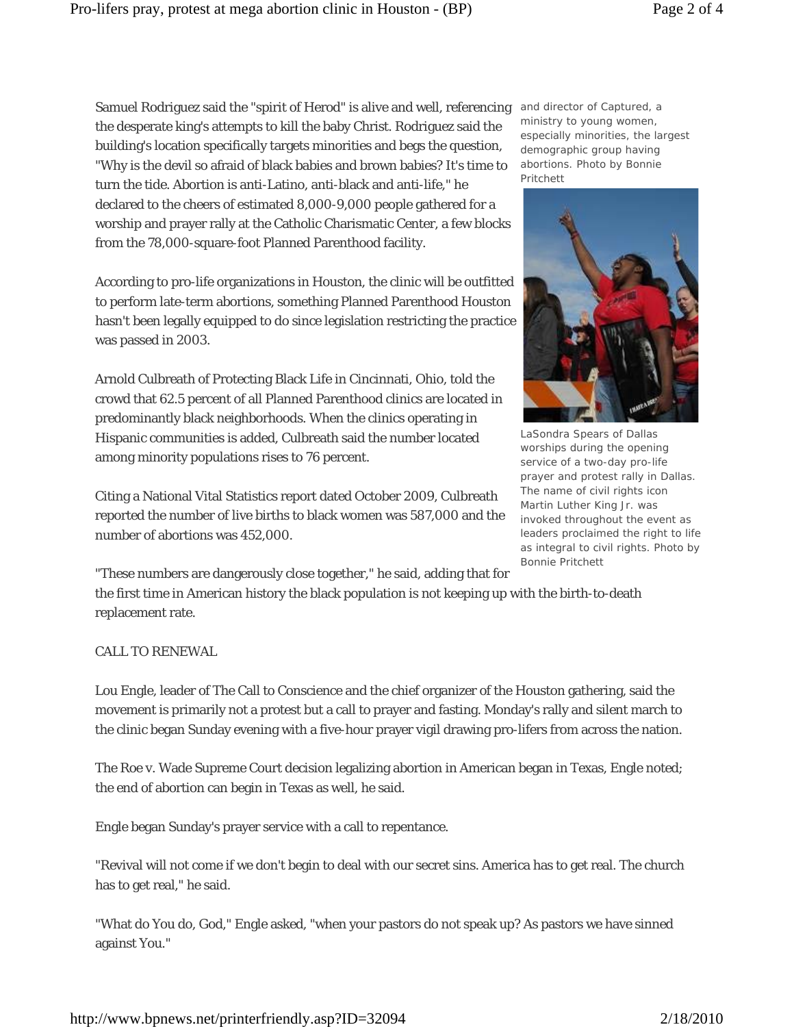Samuel Rodriguez said the "spirit of Herod" is alive and well, referencing and director of Captured, a the desperate king's attempts to kill the baby Christ. Rodriguez said the building's location specifically targets minorities and begs the question, "Why is the devil so afraid of black babies and brown babies? It's time to turn the tide. Abortion is anti-Latino, anti-black and anti-life," he declared to the cheers of estimated 8,000-9,000 people gathered for a worship and prayer rally at the Catholic Charismatic Center, a few blocks from the 78,000-square-foot Planned Parenthood facility.

According to pro-life organizations in Houston, the clinic will be outfitted to perform late-term abortions, something Planned Parenthood Houston hasn't been legally equipped to do since legislation restricting the practice was passed in 2003.

Arnold Culbreath of Protecting Black Life in Cincinnati, Ohio, told the crowd that 62.5 percent of all Planned Parenthood clinics are located in predominantly black neighborhoods. When the clinics operating in Hispanic communities is added, Culbreath said the number located among minority populations rises to 76 percent.

Citing a National Vital Statistics report dated October 2009, Culbreath reported the number of live births to black women was 587,000 and the number of abortions was 452,000.

"These numbers are dangerously close together," he said, adding that for the first time in American history the black population is not keeping up with the birth-to-death replacement rate.

## CALL TO RENEWAL

Lou Engle, leader of The Call to Conscience and the chief organizer of the Houston gathering, said the movement is primarily not a protest but a call to prayer and fasting. Monday's rally and silent march to the clinic began Sunday evening with a five-hour prayer vigil drawing pro-lifers from across the nation.

The Roe v. Wade Supreme Court decision legalizing abortion in American began in Texas, Engle noted; the end of abortion can begin in Texas as well, he said.

Engle began Sunday's prayer service with a call to repentance.

"Revival will not come if we don't begin to deal with our secret sins. America has to get real. The church has to get real," he said.

"What do You do, God," Engle asked, "when your pastors do not speak up? As pastors we have sinned against You."

ministry to young women, especially minorities, the largest demographic group having abortions. *Photo by Bonnie Pritchett*

LaSondra Spears of Dallas worships during the opening service of a two-day pro-life prayer and protest rally in Dallas. The name of civil rights icon Martin Luther King Jr. was invoked throughout the event as leaders proclaimed the right to life as integral to civil rights. *Photo by Bonnie Pritchett*

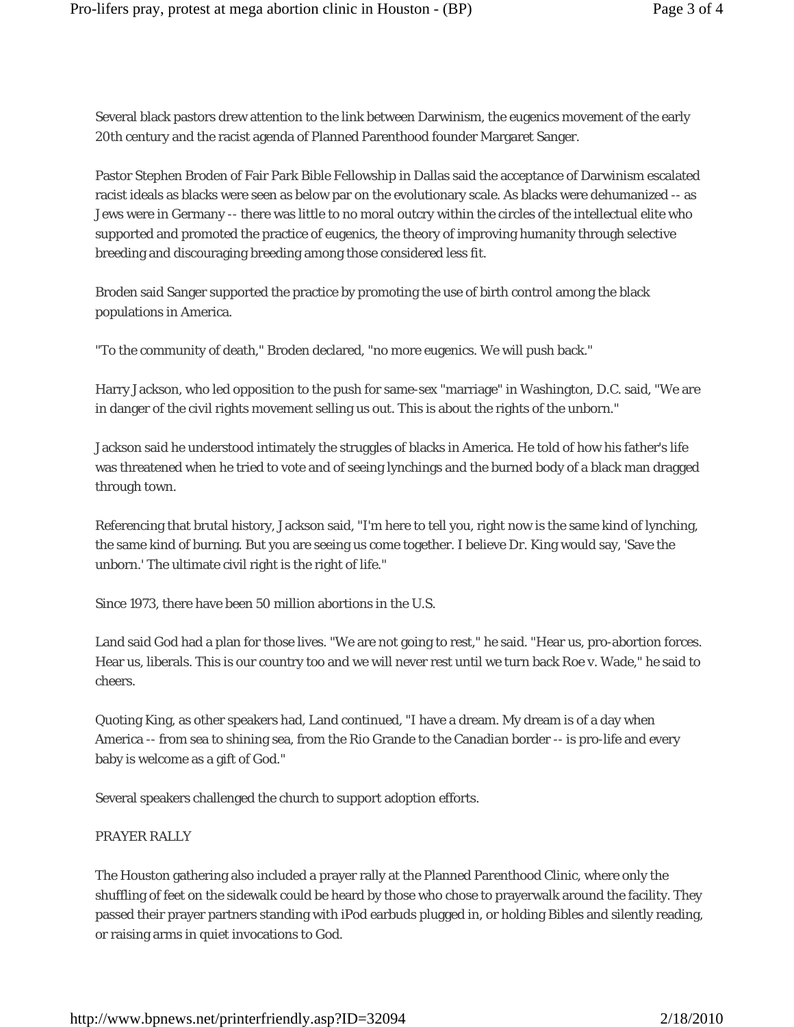Several black pastors drew attention to the link between Darwinism, the eugenics movement of the early 20th century and the racist agenda of Planned Parenthood founder Margaret Sanger.

Pastor Stephen Broden of Fair Park Bible Fellowship in Dallas said the acceptance of Darwinism escalated racist ideals as blacks were seen as below par on the evolutionary scale. As blacks were dehumanized -- as Jews were in Germany -- there was little to no moral outcry within the circles of the intellectual elite who supported and promoted the practice of eugenics, the theory of improving humanity through selective breeding and discouraging breeding among those considered less fit.

Broden said Sanger supported the practice by promoting the use of birth control among the black populations in America.

"To the community of death," Broden declared, "no more eugenics. We will push back."

Harry Jackson, who led opposition to the push for same-sex "marriage" in Washington, D.C. said, "We are in danger of the civil rights movement selling us out. This is about the rights of the unborn."

Jackson said he understood intimately the struggles of blacks in America. He told of how his father's life was threatened when he tried to vote and of seeing lynchings and the burned body of a black man dragged through town.

Referencing that brutal history, Jackson said, "I'm here to tell you, right now is the same kind of lynching, the same kind of burning. But you are seeing us come together. I believe Dr. King would say, 'Save the unborn.' The ultimate civil right is the right of life."

Since 1973, there have been 50 million abortions in the U.S.

Land said God had a plan for those lives. "We are not going to rest," he said. "Hear us, pro-abortion forces. Hear us, liberals. This is our country too and we will never rest until we turn back Roe v. Wade," he said to cheers.

Quoting King, as other speakers had, Land continued, "I have a dream. My dream is of a day when America -- from sea to shining sea, from the Rio Grande to the Canadian border -- is pro-life and every baby is welcome as a gift of God."

Several speakers challenged the church to support adoption efforts.

## PRAYER RALLY

The Houston gathering also included a prayer rally at the Planned Parenthood Clinic, where only the shuffling of feet on the sidewalk could be heard by those who chose to prayerwalk around the facility. They passed their prayer partners standing with iPod earbuds plugged in, or holding Bibles and silently reading, or raising arms in quiet invocations to God.